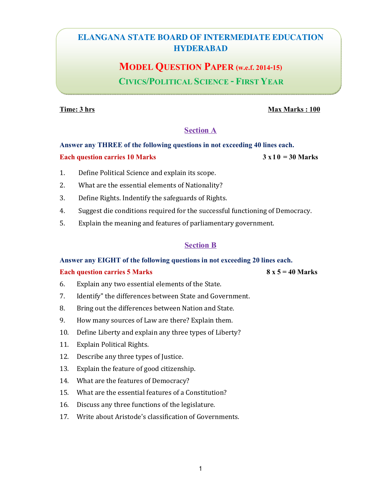# **ELANGANA STATE BOARD OF INTERMEDIATE EDUCATION HYDERABAD**

# MODEL QUESTION PAPER (w.e.f. 2014-15)

# CIVICS/POLITICAL SCIENCE - FIRST YEAR

### **Time: 3 hrs** Max Marks : 100

### Section A

# Answer any THREE of the following questions in not exceeding 40 lines each. Each question carries 10 Marks  $3 \times 10 = 30$  Marks

- 1. Define Political Science and explain its scope.
- 2. What are the essential elements of Nationality?
- 3. Define Rights. Indentify the safeguards of Rights.
- 4. Suggest die conditions required for the successful functioning of Democracy.
- 5. Explain the meaning and features of parliamentary government.

### Section B

#### Answer any EIGHT of the following questions in not exceeding 20 lines each.

#### Each question carries 5 Marks  $8 \times 5 = 40$  Marks

- 6. Explain any two essential elements of the State.
- 7. Identify" the differences between State and Government.
- 8. Bring out the differences between Nation and State.
- 9. How many sources of Law are there? Explain them.
- 10. Define Liberty and explain any three types of Liberty?
- 11. Explain Political Rights.
- 12. Describe any three types of Justice.
- 13. Explain the feature of good citizenship.
- 14. What are the features of Democracy?
- 15. What are the essential features of a Constitution?
- 16. Discuss any three functions of the legislature.
- 17. Write about Aristode's classification of Governments.